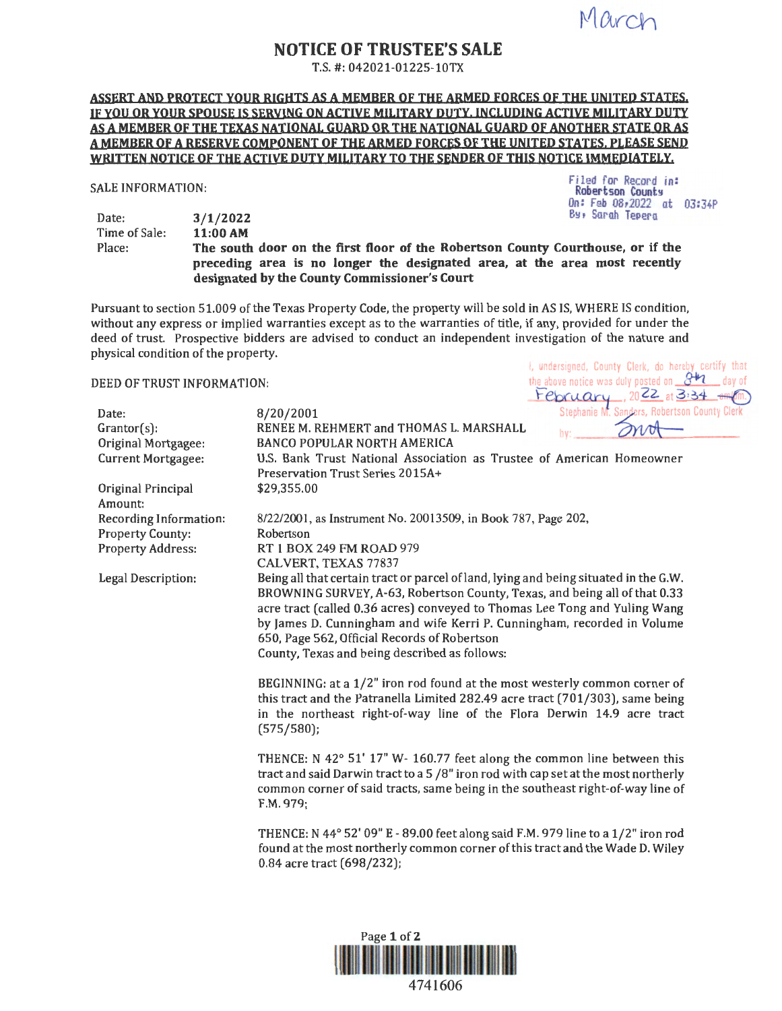March

Filed for Record in: **Robertson County** On: Feb 08,2022 at 03:34P

# **NOTICE OF TRUSTEE'S SALE**

T.S. #: 042021-01225-lOTX

### **ASSERT AND PROTECT YOUR RIGHTS AS A MEMBER OF THE ARMED FORCES OF THE UNITED STATES,**  IF YOU OR YOUR SPOUSE IS SERVING ON ACTIVE MILITARY DUTY, INCLUDING ACTIVE MILITARY DUTY **AS A MEMBER QF THE TEXAS NATIONAL GUARD QR THE NATIONAL GUARD OF ANOTHER STATE OR AS A MEMBER QF A RESERVE COMPONENT QF THE ARMED FORCES OF THE UNITED STATES. PLEASE SEND WRITTEN NOTICE OF THE ACTIVE DUTY MILITARY TO THE SENDER OF THIS NOTICE IMMEDIATELY.**

### SALE INFORMATION:

Date: Time of Sale: **3/1/2022** 

**11:00AM**  B~, Sarah TePera Place: **The south door on the first floor of the Robertson County Courthouse, or if the preceding area is no longer the designated area, at the area most recently designated by the County Commissioner's Court** 

Pursuant to section 51.009 of the Texas Property Code, the property will be sold in AS IS, WHERE IS condition, without any express or implied warranties except as to the warranties of title, if any, provided for under the deed of trust. Prospective bidders are advised to conduct an independent investigation of the nature and physical condition of the property. *i*, undersigned, County Clerk, do hereby certify that

| DEED OF TRUST INFORMATION:                                                                          |                                                                                                                                                                                                                                                                                                                                                                                                                                                                                                                                                                                                                                                                                                                                                                                                        | the above notice was duly posted on $\mathcal{S}^{\sharp n}$<br>day of<br>February, $2022$ at 3:34 |
|-----------------------------------------------------------------------------------------------------|--------------------------------------------------------------------------------------------------------------------------------------------------------------------------------------------------------------------------------------------------------------------------------------------------------------------------------------------------------------------------------------------------------------------------------------------------------------------------------------------------------------------------------------------------------------------------------------------------------------------------------------------------------------------------------------------------------------------------------------------------------------------------------------------------------|----------------------------------------------------------------------------------------------------|
| Date:<br>$Grantor(s)$ :<br>Original Mortgagee:<br><b>Current Mortgagee:</b>                         | 8/20/2001<br>RENEE M. REHMERT and THOMAS L. MARSHALL<br><b>BANCO POPULAR NORTH AMERICA</b><br>U.S. Bank Trust National Association as Trustee of American Homeowner<br>Preservation Trust Series 2015A+                                                                                                                                                                                                                                                                                                                                                                                                                                                                                                                                                                                                | Stephanie M. Sanders, Robertson County Clerk<br>hv:                                                |
| Original Principal<br>Amount:                                                                       | \$29,355.00                                                                                                                                                                                                                                                                                                                                                                                                                                                                                                                                                                                                                                                                                                                                                                                            |                                                                                                    |
| Recording Information:<br><b>Property County:</b><br><b>Property Address:</b><br>Legal Description: | 8/22/2001, as Instrument No. 20013509, in Book 787, Page 202,<br>Robertson<br>RT 1 BOX 249 FM ROAD 979<br>CALVERT, TEXAS 77837<br>Being all that certain tract or parcel of land, lying and being situated in the G.W.<br>BROWNING SURVEY, A-63, Robertson County, Texas, and being all of that 0.33<br>acre tract (called 0.36 acres) conveyed to Thomas Lee Tong and Yuling Wang<br>by James D. Cunningham and wife Kerri P. Cunningham, recorded in Volume<br>650, Page 562, Official Records of Robertson<br>County, Texas and being described as follows:<br>BEGINNING: at a 1/2" iron rod found at the most westerly common corner of<br>this tract and the Patranella Limited 282.49 acre tract (701/303), same being<br>in the northeast right-of-way line of the Flora Derwin 14.9 acre tract |                                                                                                    |
|                                                                                                     | (575/580);<br>THENCE: N 42° 51' 17" W- 160.77 feet along the common line between this<br>tract and said Darwin tract to a 5 /8" iron rod with cap set at the most northerly<br>common corner of said tracts, same being in the southeast right-of-way line of<br>F.M. 979;<br>THENCE: N 44° 52' 09" E - 89.00 feet along said F.M. 979 line to a 1/2" iron rod<br>found at the most northerly common corner of this tract and the Wade D. Wiley<br>0.84 acre tract (698/232);                                                                                                                                                                                                                                                                                                                          |                                                                                                    |



4741606